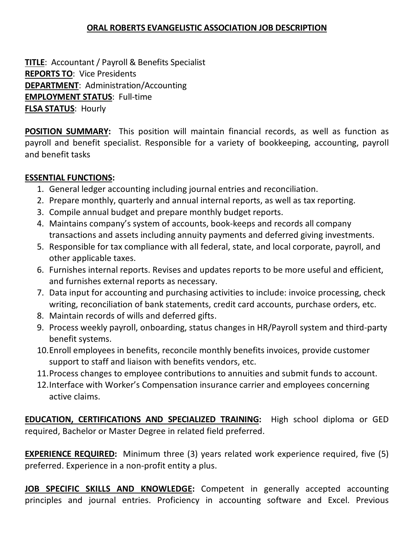## **ORAL ROBERTS EVANGELISTIC ASSOCIATION JOB DESCRIPTION**

**TITLE**: Accountant / Payroll & Benefits Specialist **REPORTS TO**: Vice Presidents **DEPARTMENT**: Administration/Accounting **EMPLOYMENT STATUS**: Full-time **FLSA STATUS**: Hourly

**POSITION SUMMARY:** This position will maintain financial records, as well as function as payroll and benefit specialist. Responsible for a variety of bookkeeping, accounting, payroll and benefit tasks

## **ESSENTIAL FUNCTIONS:**

- 1. General ledger accounting including journal entries and reconciliation.
- 2. Prepare monthly, quarterly and annual internal reports, as well as tax reporting.
- 3. Compile annual budget and prepare monthly budget reports.
- 4. Maintains company's system of accounts, book-keeps and records all company transactions and assets including annuity payments and deferred giving investments.
- 5. Responsible for tax compliance with all federal, state, and local corporate, payroll, and other applicable taxes.
- 6. Furnishes internal reports. Revises and updates reports to be more useful and efficient, and furnishes external reports as necessary.
- 7. Data input for accounting and purchasing activities to include: invoice processing, check writing, reconciliation of bank statements, credit card accounts, purchase orders, etc.
- 8. Maintain records of wills and deferred gifts.
- 9. Process weekly payroll, onboarding, status changes in HR/Payroll system and third-party benefit systems.
- 10.Enroll employees in benefits, reconcile monthly benefits invoices, provide customer support to staff and liaison with benefits vendors, etc.
- 11.Process changes to employee contributions to annuities and submit funds to account.
- 12.Interface with Worker's Compensation insurance carrier and employees concerning active claims.

**EDUCATION, CERTIFICATIONS AND SPECIALIZED TRAINING:** High school diploma or GED required, Bachelor or Master Degree in related field preferred.

**EXPERIENCE REQUIRED:** Minimum three (3) years related work experience required, five (5) preferred. Experience in a non-profit entity a plus.

**JOB SPECIFIC SKILLS AND KNOWLEDGE:** Competent in generally accepted accounting principles and journal entries. Proficiency in accounting software and Excel. Previous